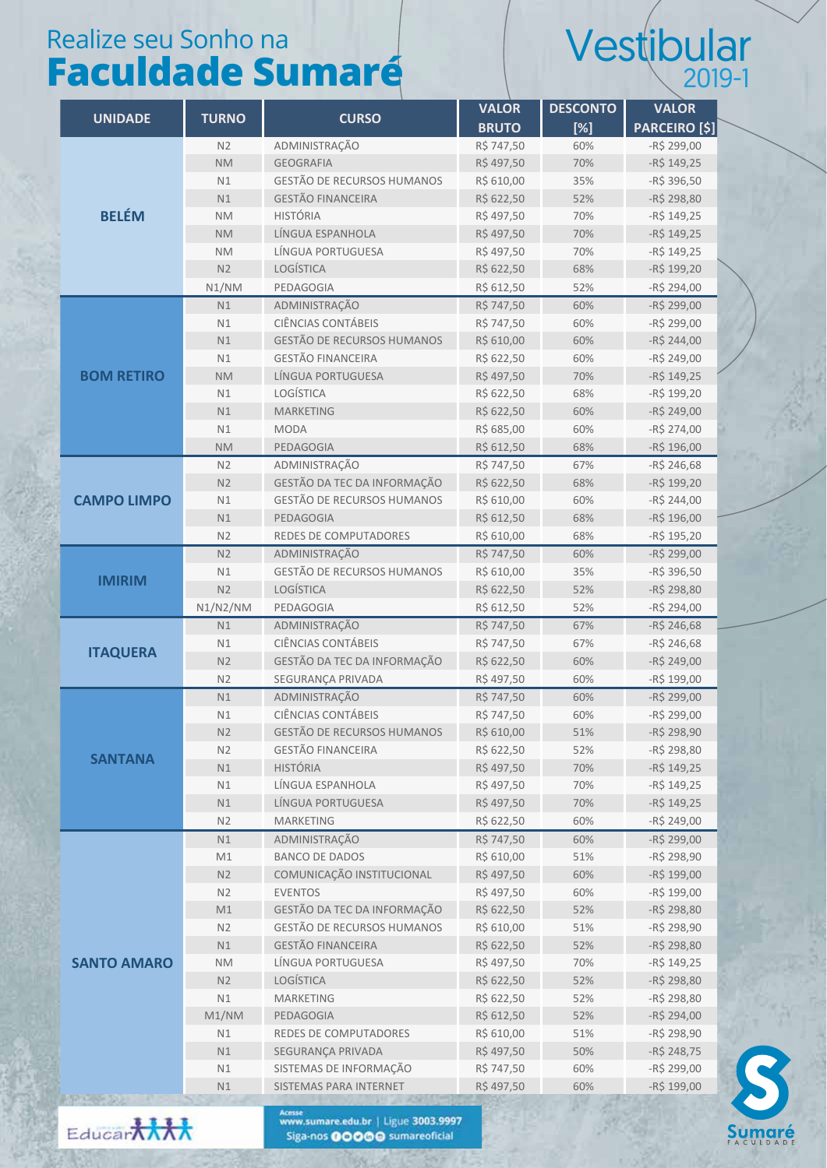## Realize seu Sonho na **Faculdade Sumaré**

## Vestibular 2019-1

|                    |                |                                        | <b>VALOR</b>            | <b>DESCONTO</b> | <b>VALOR</b>                  |
|--------------------|----------------|----------------------------------------|-------------------------|-----------------|-------------------------------|
| <b>UNIDADE</b>     | <b>TURNO</b>   | <b>CURSO</b>                           | <b>BRUTO</b>            | [%]             | <b>PARCEIRO [\$]</b>          |
| <b>BELÉM</b>       | N2             | ADMINISTRAÇÃO                          | R\$ 747,50              | 60%             | $-R$ 299,00$                  |
|                    | <b>NM</b>      | <b>GEOGRAFIA</b>                       | R\$497,50               | 70%             | $-R$ 149,25$                  |
|                    | N1             | GESTÃO DE RECURSOS HUMANOS             | R\$ 610,00              | 35%             | -R\$ 396,50                   |
|                    | N1             | <b>GESTÃO FINANCEIRA</b>               | R\$ 622,50              | 52%             | -R\$ 298,80                   |
|                    | <b>NM</b>      | <b>HISTÓRIA</b>                        | R\$497,50               | 70%             | $-R$ 149,25$                  |
|                    | <b>NM</b>      | LÍNGUA ESPANHOLA                       | R\$497,50               | 70%             | $-R$ 149,25$                  |
|                    | <b>NM</b>      | LÍNGUA PORTUGUESA                      | R\$497,50               | 70%             | $-R$ 149,25$                  |
|                    | N2             | <b>LOGÍSTICA</b>                       | R\$ 622,50              | 68%             | -R\$ 199,20                   |
|                    | N1/NM          | PEDAGOGIA                              | R\$ 612,50              | 52%             | -R\$ 294,00                   |
|                    | N1             | ADMINISTRAÇÃO                          | R\$ 747,50              | 60%             | -R\$ 299,00                   |
|                    | N1             | CIÊNCIAS CONTÁBEIS                     | R\$ 747,50              | 60%             | -R\$ 299,00                   |
| <b>BOM RETIRO</b>  | N1             | GESTÃO DE RECURSOS HUMANOS             | R\$ 610,00              | 60%             | -R\$ 244,00                   |
|                    | N1             | <b>GESTÃO FINANCEIRA</b>               | R\$ 622,50              | 60%             | -R\$ 249,00                   |
|                    | <b>NM</b>      | LÍNGUA PORTUGUESA                      | R\$497,50               | 70%             | $-R$ 149,25$                  |
|                    | N1             | LOGÍSTICA                              | R\$ 622,50              | 68%             | -R\$ 199,20                   |
|                    | N1             | <b>MARKETING</b>                       | R\$ 622,50              | 60%             | -R\$ 249,00                   |
|                    | N1             | <b>MODA</b>                            | R\$ 685,00              | 60%             | $-R$274,00$                   |
|                    | <b>NM</b>      | PEDAGOGIA                              | R\$ 612,50              | 68%             | -R\$ 196,00                   |
|                    | N <sub>2</sub> | ADMINISTRAÇÃO                          | R\$ 747,50              | 67%             | $-R$ 246,68$                  |
| <b>CAMPO LIMPO</b> | N <sub>2</sub> | GESTÃO DA TEC DA INFORMAÇÃO            | R\$ 622,50              | 68%             | -R\$ 199,20                   |
|                    | N1             | <b>GESTÃO DE RECURSOS HUMANOS</b>      | R\$ 610,00              | 60%             | $-R$244,00$                   |
|                    | N1             | PEDAGOGIA                              | R\$ 612,50              | 68%             | -R\$ 196,00                   |
|                    | N2             | REDES DE COMPUTADORES                  | R\$ 610,00              | 68%             | -R\$ 195,20                   |
| <b>IMIRIM</b>      | N2             | ADMINISTRAÇÃO                          | R\$ 747,50              | 60%             | $-R$ 299,00$                  |
|                    | N1             | GESTÃO DE RECURSOS HUMANOS             | R\$ 610,00              | 35%             | -R\$ 396,50                   |
|                    | N <sub>2</sub> | <b>LOGÍSTICA</b>                       | R\$ 622,50              | 52%             | $-R$ 298,80$                  |
|                    | N1/N2/NM       | PEDAGOGIA                              | R\$ 612,50              | 52%             | -R\$ 294,00                   |
| <b>ITAQUERA</b>    | N1             | ADMINISTRAÇÃO                          | R\$ 747,50              | 67%             | $-R$246,68$                   |
|                    | N1             | <b>CIÊNCIAS CONTÁBEIS</b>              | R\$ 747,50              | 67%             | $-R$246,68$                   |
|                    | N <sub>2</sub> | GESTÃO DA TEC DA INFORMAÇÃO            | R\$ 622,50              | 60%             | -R\$ 249,00                   |
|                    | N2             | SEGURANÇA PRIVADA                      | R\$497,50               | 60%             | -R\$ 199,00                   |
|                    | N1             | ADMINISTRAÇÃO                          | R\$ 747,50              | 60%             | $-R$ 299,00$                  |
| <b>SANTANA</b>     | N1             | CIÊNCIAS CONTÁBEIS                     | R\$ 747,50              | 60%             | -R\$ 299,00                   |
|                    | N2             | GESTÃO DE RECURSOS HUMANOS             | R\$ 610,00              | 51%             | $-R$ 298,90$                  |
|                    | N2             | <b>GESTÃO FINANCEIRA</b>               | R\$ 622,50              | 52%             | $-R$298,80$                   |
|                    | N1             | <b>HISTÓRIA</b>                        | R\$497,50               | 70%             | $-R$ 149,25$                  |
|                    | N1             | LÍNGUA ESPANHOLA                       | R\$497,50               | 70%             | $-R$ 149,25$                  |
|                    | N1             | LÍNGUA PORTUGUESA                      | R\$497,50               | 70%             | $-R$ 149,25$                  |
|                    | N2             | <b>MARKETING</b>                       | R\$ 622,50              | 60%             | $-R$249,00$                   |
| <b>SANTO AMARO</b> | N1<br>M1       | ADMINISTRAÇÃO<br><b>BANCO DE DADOS</b> | R\$ 747,50              | 60%             | $-R$ \$ 299,00                |
|                    | N2             | COMUNICAÇÃO INSTITUCIONAL              | R\$ 610,00<br>R\$497,50 | 51%<br>60%      | $-R$ \$ 298,90<br>-R\$ 199,00 |
|                    | N2             | <b>EVENTOS</b>                         | R\$497,50               | 60%             | $-R$ 199,00$                  |
|                    | M1             | GESTÃO DA TEC DA INFORMAÇÃO            | R\$ 622,50              | 52%             | -R\$ 298,80                   |
|                    | N2             | <b>GESTÃO DE RECURSOS HUMANOS</b>      | R\$ 610,00              | 51%             | $-R$ \$ 298,90                |
|                    | N1             | <b>GESTÃO FINANCEIRA</b>               | R\$ 622,50              | 52%             | $-R$ 298,80$                  |
|                    | <b>NM</b>      | LÍNGUA PORTUGUESA                      | R\$497,50               | 70%             | $-R$ 149,25$                  |
|                    | N2             | <b>LOGÍSTICA</b>                       | R\$ 622,50              | 52%             | -R\$ 298,80                   |
|                    | N1             | <b>MARKETING</b>                       | R\$ 622,50              | 52%             | -R\$ 298,80                   |
|                    | M1/NM          | PEDAGOGIA                              | R\$ 612,50              | 52%             | -R\$ 294,00                   |
|                    | N1             | REDES DE COMPUTADORES                  | R\$ 610,00              | 51%             | $-R$ \$ 298,90                |
|                    | N1             | SEGURANÇA PRIVADA                      | R\$497,50               | 50%             | $-R$248,75$                   |
|                    | N1             | SISTEMAS DE INFORMAÇÃO                 | R\$ 747,50              | 60%             | -R\$ 299,00                   |
|                    | N1             | SISTEMAS PARA INTERNET                 | R\$497,50               | 60%             | $-R$ 199,00$                  |
|                    |                |                                        |                         |                 |                               |



Acesse<br>www.sumare.edu.br | Ligue 3003.9997<br>Siga-nos **00000** sumareoficial